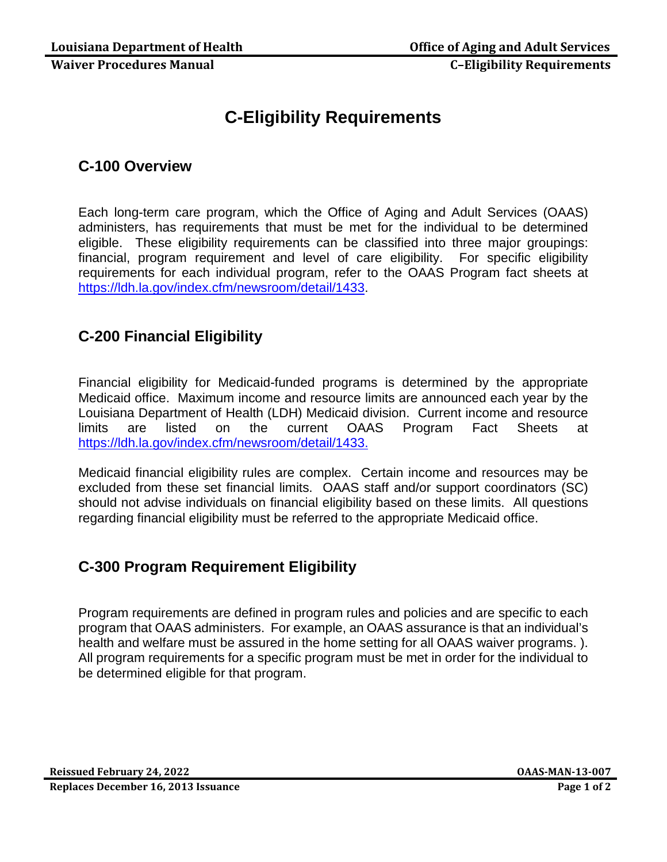# **C-Eligibility Requirements**

### **C-100 Overview**

Each long-term care program, which the Office of Aging and Adult Services (OAAS) administers, has requirements that must be met for the individual to be determined eligible. These eligibility requirements can be classified into three major groupings: financial, program requirement and level of care eligibility. For specific eligibility requirements for each individual program, refer to the OAAS Program fact sheets at [https://ldh.la.gov/index.cfm/newsroom/detail/1433.](https://ldh.la.gov/index.cfm/newsroom/detail/1433)

## **C-200 Financial Eligibility**

Financial eligibility for Medicaid-funded programs is determined by the appropriate Medicaid office. Maximum income and resource limits are announced each year by the Louisiana Department of Health (LDH) Medicaid division. Current income and resource limits are listed on the current OAAS Program Fact Sheets at <https://ldh.la.gov/index.cfm/newsroom/detail/1433.>

Medicaid financial eligibility rules are complex. Certain income and resources may be excluded from these set financial limits. OAAS staff and/or support coordinators (SC) should not advise individuals on financial eligibility based on these limits. All questions regarding financial eligibility must be referred to the appropriate Medicaid office.

#### **C-300 Program Requirement Eligibility**

Program requirements are defined in program rules and policies and are specific to each program that OAAS administers. For example, an OAAS assurance is that an individual's health and welfare must be assured in the home setting for all OAAS waiver programs. ). All program requirements for a specific program must be met in order for the individual to be determined eligible for that program.